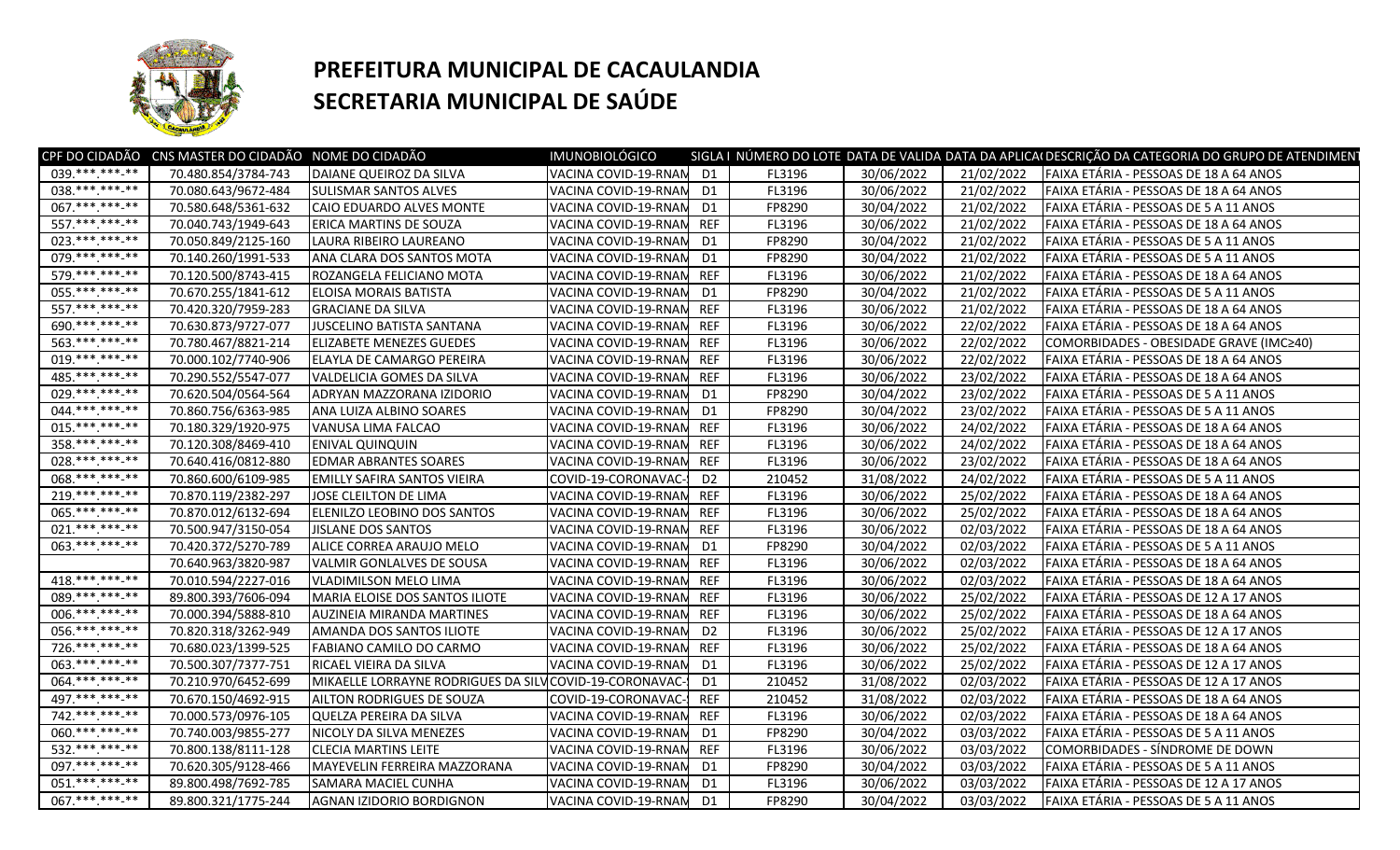

## **PREFEITURA MUNICIPAL DE CACAULANDIA SECRETARIA MUNICIPAL DE SAÚDE**

| D <sub>1</sub><br>70.480.854/3784-743<br>DAIANE QUEIROZ DA SILVA<br>VACINA COVID-19-RNAM<br>FL3196<br>30/06/2022<br>21/02/2022<br>FAIXA ETÁRIA - PESSOAS DE 18 A 64 ANOS<br>$038.*******.**$<br>D <sub>1</sub><br>30/06/2022<br>70.080.643/9672-484<br>VACINA COVID-19-RNAM<br>FL3196<br>21/02/2022<br>FAIXA ETÁRIA - PESSOAS DE 18 A 64 ANOS<br><b>SULISMAR SANTOS ALVES</b><br>067.**********<br>30/04/2022<br>70.580.648/5361-632<br>21/02/2022<br>FAIXA ETÁRIA - PESSOAS DE 5 A 11 ANOS<br>CAIO EDUARDO ALVES MONTE<br>VACINA COVID-19-RNAN<br>D <sub>1</sub><br>FP8290<br>557.*** ***-**<br><b>REF</b><br>70.040.743/1949-643<br><b>ERICA MARTINS DE SOUZA</b><br>VACINA COVID-19-RNAM<br>FL3196<br>30/06/2022<br>21/02/2022<br>FAIXA ETÁRIA - PESSOAS DE 18 A 64 ANOS<br>023. *** *** **<br>30/04/2022<br>70.050.849/2125-160<br>LAURA RIBEIRO LAUREANO<br>VACINA COVID-19-RNAM<br>D <sub>1</sub><br>FP8290<br>21/02/2022<br>FAIXA ETÁRIA - PESSOAS DE 5 A 11 ANOS<br>079.*********<br>70.140.260/1991-533<br>VACINA COVID-19-RNAM<br>D <sub>1</sub><br>FP8290<br>30/04/2022<br>21/02/2022<br>FAIXA ETÁRIA - PESSOAS DE 5 A 11 ANOS<br>ANA CLARA DOS SANTOS MOTA<br>579.*** *** **<br><b>REF</b><br>70.120.500/8743-415<br>FL3196<br>30/06/2022<br>21/02/2022<br>FAIXA ETÁRIA - PESSOAS DE 18 A 64 ANOS<br>ROZANGELA FELICIANO MOTA<br>VACINA COVID-19-RNAN<br>055. *** *** **<br>30/04/2022<br>70.670.255/1841-612<br>D1<br>FP8290<br>21/02/2022<br>FAIXA ETÁRIA - PESSOAS DE 5 A 11 ANOS<br><b>IELOISA MORAIS BATISTA</b><br>VACINA COVID-19-RNAN<br>557.*******.**<br><b>REF</b><br>30/06/2022<br>21/02/2022<br>70.420.320/7959-283<br>FL3196<br>FAIXA ETÁRIA - PESSOAS DE 18 A 64 ANOS<br><b>GRACIANE DA SILVA</b><br>VACINA COVID-19-RNAN<br>690.*** ***-**<br><b>REF</b><br>70.630.873/9727-077<br>JUSCELINO BATISTA SANTANA<br>FL3196<br>30/06/2022<br>22/02/2022<br>FAIXA ETÁRIA - PESSOAS DE 18 A 64 ANOS<br>VACINA COVID-19-RNAN<br>563.**********<br><b>REF</b><br>30/06/2022<br>22/02/2022<br>70.780.467/8821-214<br>FL3196<br><b>ELIZABETE MENEZES GUEDES</b><br>VACINA COVID-19-RNAN<br>COMORBIDADES - OBESIDADE GRAVE (IMC≥40)<br>019.***.***-**<br><b>REF</b><br>30/06/2022<br>70.000.102/7740-906<br><b>ELAYLA DE CAMARGO PEREIRA</b><br>VACINA COVID-19-RNAM<br>FL3196<br>22/02/2022<br>FAIXA ETÁRIA - PESSOAS DE 18 A 64 ANOS<br>485. *** *** -**<br><b>REF</b><br>30/06/2022<br>70.290.552/5547-077<br>VACINA COVID-19-RNAN<br>FL3196<br>23/02/2022<br>FAIXA ETÁRIA - PESSOAS DE 18 A 64 ANOS<br>VALDELICIA GOMES DA SILVA<br>$029.*******.**$<br>30/04/2022<br>70.620.504/0564-564<br>ADRYAN MAZZORANA IZIDORIO<br>VACINA COVID-19-RNAM<br>D <sub>1</sub><br>FP8290<br>23/02/2022<br>FAIXA ETÁRIA - PESSOAS DE 5 A 11 ANOS<br>044.*** ***-**<br>30/04/2022<br>70.860.756/6363-985<br>D <sub>1</sub><br>FP8290<br>23/02/2022<br>FAIXA ETÁRIA - PESSOAS DE 5 A 11 ANOS<br>ANA LUIZA ALBINO SOARES<br>VACINA COVID-19-RNAM<br>$015$ .***.***.**<br><b>REF</b><br>70.180.329/1920-975<br>VANUSA LIMA FALCAO<br>VACINA COVID-19-RNAM<br>FL3196<br>30/06/2022<br>24/02/2022<br>FAIXA ETÁRIA - PESSOAS DE 18 A 64 ANOS<br>358.**********<br>30/06/2022<br>70.120.308/8469-410<br><b>REF</b><br>24/02/2022<br>FAIXA ETÁRIA - PESSOAS DE 18 A 64 ANOS<br><b>ENIVAL QUINQUIN</b><br>VACINA COVID-19-RNAM<br>FL3196<br>028.***.***-**<br><b>REF</b><br>70.640.416/0812-880<br><b>EDMAR ABRANTES SOARES</b><br>VACINA COVID-19-RNAN<br>FL3196<br>30/06/2022<br>23/02/2022<br>FAIXA ETÁRIA - PESSOAS DE 18 A 64 ANOS<br>068.**********<br>D <sub>2</sub><br>31/08/2022<br>24/02/2022<br>70.860.600/6109-985<br><b>EMILLY SAFIRA SANTOS VIEIRA</b><br>COVID-19-CORONAVAC-<br>210452<br>FAIXA ETÁRIA - PESSOAS DE 5 A 11 ANOS<br>$219*********$<br><b>REF</b><br>30/06/2022<br>70.870.119/2382-297<br>25/02/2022<br>FAIXA ETÁRIA - PESSOAS DE 18 A 64 ANOS<br>JOSE CLEILTON DE LIMA<br>VACINA COVID-19-RNAM<br>FL3196<br>065.***.***-**<br><b>REF</b><br>30/06/2022<br>25/02/2022<br>FAIXA ETÁRIA - PESSOAS DE 18 A 64 ANOS<br>70.870.012/6132-694<br><b>ELENILZO LEOBINO DOS SANTOS</b><br>VACINA COVID-19-RNAN<br>FL3196<br>021.***.***-**<br><b>REF</b><br>FL3196<br>30/06/2022<br>02/03/2022<br>FAIXA ETÁRIA - PESSOAS DE 18 A 64 ANOS<br>70.500.947/3150-054<br><b>JISLANE DOS SANTOS</b><br>VACINA COVID-19-RNAN<br>063.**********<br>30/04/2022<br>70.420.372/5270-789<br>ALICE CORREA ARAUJO MELO<br>D <sub>1</sub><br>FP8290<br>02/03/2022<br>FAIXA ETÁRIA - PESSOAS DE 5 A 11 ANOS<br>VACINA COVID-19-RNAM<br><b>REF</b><br>30/06/2022<br>70.640.963/3820-987<br>VALMIR GONLALVES DE SOUSA<br>VACINA COVID-19-RNAN<br>FL3196<br>02/03/2022<br>FAIXA ETÁRIA - PESSOAS DE 18 A 64 ANOS<br>$418.*******.**$<br>30/06/2022<br>70.010.594/2227-016<br><b>REF</b><br>02/03/2022<br>FAIXA ETÁRIA - PESSOAS DE 18 A 64 ANOS<br>VLADIMILSON MELO LIMA<br>VACINA COVID-19-RNAM<br>FL3196<br>089.***.***.**<br>30/06/2022<br>89.800.393/7606-094<br>MARIA ELOISE DOS SANTOS ILIOTE<br>VACINA COVID-19-RNAN<br><b>REF</b><br>25/02/2022<br>FAIXA ETÁRIA - PESSOAS DE 12 A 17 ANOS<br>FL3196<br>006.***.***.**<br>70.000.394/5888-810<br><b>REF</b><br>30/06/2022<br>25/02/2022<br>FAIXA ETÁRIA - PESSOAS DE 18 A 64 ANOS<br>AUZINEIA MIRANDA MARTINES<br>VACINA COVID-19-RNAM<br>FL3196<br>056.**********<br>30/06/2022<br>25/02/2022<br>70.820.318/3262-949<br>AMANDA DOS SANTOS ILIOTE<br>VACINA COVID-19-RNAN<br>D <sub>2</sub><br>FL3196<br>FAIXA ETÁRIA - PESSOAS DE 12 A 17 ANOS<br>726.**********<br>70.680.023/1399-525<br><b>REF</b><br>30/06/2022<br>25/02/2022<br>FABIANO CAMILO DO CARMO<br>VACINA COVID-19-RNAN<br>FL3196<br>FAIXA ETÁRIA - PESSOAS DE 18 A 64 ANOS<br>063. *** *** ** **<br>70.500.307/7377-751<br>RICAEL VIEIRA DA SILVA<br>D <sub>1</sub><br>FL3196<br>30/06/2022<br>25/02/2022<br>FAIXA ETÁRIA - PESSOAS DE 12 A 17 ANOS<br>VACINA COVID-19-RNAN<br>064.*********<br>70.210.970/6452-699<br>MIKAELLE LORRAYNE RODRIGUES DA SILVICOVID-19-CORONAVAC-<br>D <sub>1</sub><br>210452<br>31/08/2022<br>02/03/2022<br>FAIXA ETÁRIA - PESSOAS DE 12 A 17 ANOS<br>497.*** *** -**<br><b>REF</b><br>70.670.150/4692-915<br>210452<br>31/08/2022<br>02/03/2022<br><b>AILTON RODRIGUES DE SOUZA</b><br>FAIXA ETÁRIA - PESSOAS DE 18 A 64 ANOS<br>COVID-19-CORONAVAC-<br>742. *** *** **<br><b>REF</b><br>FL3196<br>30/06/2022<br>02/03/2022<br>FAIXA ETÁRIA - PESSOAS DE 18 A 64 ANOS<br>70.000.573/0976-105<br>QUELZA PEREIRA DA SILVA<br>VACINA COVID-19-RNAN<br>060.**********<br>D <sub>1</sub><br>FP8290<br>30/04/2022<br>70.740.003/9855-277<br>NICOLY DA SILVA MENEZES<br>VACINA COVID-19-RNAM<br>03/03/2022<br>FAIXA ETÁRIA - PESSOAS DE 5 A 11 ANOS<br>532.***.***.**<br><b>REF</b><br>FL3196<br>30/06/2022<br>03/03/2022<br>COMORBIDADES - SÍNDROME DE DOWN<br>70.800.138/8111-128<br><b>CLECIA MARTINS LEITE</b><br>VACINA COVID-19-RNAN<br>097. *** *** **<br>70.620.305/9128-466<br>MAYEVELIN FERREIRA MAZZORANA<br>VACINA COVID-19-RNAN<br>D <sub>1</sub><br>FP8290<br>30/04/2022<br>03/03/2022<br>FAIXA ETÁRIA - PESSOAS DE 5 A 11 ANOS<br>$051.****.**.**$<br>30/06/2022<br>89.800.498/7692-785<br><b>SAMARA MACIEL CUNHA</b><br>VACINA COVID-19-RNAN<br>D1<br>FL3196<br>03/03/2022<br>FAIXA ETÁRIA - PESSOAS DE 12 A 17 ANOS<br>067.*** ***-**<br>30/04/2022<br>89.800.321/1775-244<br>D <sub>1</sub><br>FP8290<br>03/03/2022<br>FAIXA ETÁRIA - PESSOAS DE 5 A 11 ANOS<br>AGNAN IZIDORIO BORDIGNON<br>VACINA COVID-19-RNAN |                | CPF DO CIDADÃO CNS MASTER DO CIDADÃO NOME DO CIDADÃO | <b>IMUNOBIOLÓGICO</b> |  | SIGLA I NÚMERO DO LOTE DATA DE VALIDA DATA DA APLICAI DESCRIÇÃO DA CATEGORIA DO GRUPO DE ATENDIMEN |
|----------------------------------------------------------------------------------------------------------------------------------------------------------------------------------------------------------------------------------------------------------------------------------------------------------------------------------------------------------------------------------------------------------------------------------------------------------------------------------------------------------------------------------------------------------------------------------------------------------------------------------------------------------------------------------------------------------------------------------------------------------------------------------------------------------------------------------------------------------------------------------------------------------------------------------------------------------------------------------------------------------------------------------------------------------------------------------------------------------------------------------------------------------------------------------------------------------------------------------------------------------------------------------------------------------------------------------------------------------------------------------------------------------------------------------------------------------------------------------------------------------------------------------------------------------------------------------------------------------------------------------------------------------------------------------------------------------------------------------------------------------------------------------------------------------------------------------------------------------------------------------------------------------------------------------------------------------------------------------------------------------------------------------------------------------------------------------------------------------------------------------------------------------------------------------------------------------------------------------------------------------------------------------------------------------------------------------------------------------------------------------------------------------------------------------------------------------------------------------------------------------------------------------------------------------------------------------------------------------------------------------------------------------------------------------------------------------------------------------------------------------------------------------------------------------------------------------------------------------------------------------------------------------------------------------------------------------------------------------------------------------------------------------------------------------------------------------------------------------------------------------------------------------------------------------------------------------------------------------------------------------------------------------------------------------------------------------------------------------------------------------------------------------------------------------------------------------------------------------------------------------------------------------------------------------------------------------------------------------------------------------------------------------------------------------------------------------------------------------------------------------------------------------------------------------------------------------------------------------------------------------------------------------------------------------------------------------------------------------------------------------------------------------------------------------------------------------------------------------------------------------------------------------------------------------------------------------------------------------------------------------------------------------------------------------------------------------------------------------------------------------------------------------------------------------------------------------------------------------------------------------------------------------------------------------------------------------------------------------------------------------------------------------------------------------------------------------------------------------------------------------------------------------------------------------------------------------------------------------------------------------------------------------------------------------------------------------------------------------------------------------------------------------------------------------------------------------------------------------------------------------------------------------------------------------------------------------------------------------------------------------------------------------------------------------------------------------------------------------------------------------------------------------------------------------------------------------------------------------------------------------------------------------------------------------------------------------------------------------------------------------------------------------------------------------------------------------------------------------------------------------------------------------------------------------------------------------------------------------------------------------------------------------------------------------------------------------------------------------------------------------------------------------------------------------------------------------------------------------------------------------------------------------------------------------------------------------------------------------------------------------------------------------------------------------------------------------------------------------------------------------------------------------------------------------------------------------------------------------------------------------------------------------------------------------------------------------------------------------------------------------------------------------------------------------------------------------------------------------------------------------------------------------------------------------------------------------------------------------------------------------------------------------------------------------------------------------------------------------------------------------------------------------------------------------------------------------------------------------------------------------------------------------------------------------------------------------------------------------------------------------------------------------------------------------------------------------------------------------------------------------------------------------------------------------------------------------------------------|----------------|------------------------------------------------------|-----------------------|--|----------------------------------------------------------------------------------------------------|
|                                                                                                                                                                                                                                                                                                                                                                                                                                                                                                                                                                                                                                                                                                                                                                                                                                                                                                                                                                                                                                                                                                                                                                                                                                                                                                                                                                                                                                                                                                                                                                                                                                                                                                                                                                                                                                                                                                                                                                                                                                                                                                                                                                                                                                                                                                                                                                                                                                                                                                                                                                                                                                                                                                                                                                                                                                                                                                                                                                                                                                                                                                                                                                                                                                                                                                                                                                                                                                                                                                                                                                                                                                                                                                                                                                                                                                                                                                                                                                                                                                                                                                                                                                                                                                                                                                                                                                                                                                                                                                                                                                                                                                                                                                                                                                                                                                                                                                                                                                                                                                                                                                                                                                                                                                                                                                                                                                                                                                                                                                                                                                                                                                                                                                                                                                                                                                                                                                                                                                                                                                                                                                                                                                                                                                                                                                                                                                                                                                                                                                                                                                                                                                                                                                                                                                                                                                                                                                                                                                                                                                                                                                                                                                                                                                                                                                                                                                                                                                                                            | $039*********$ |                                                      |                       |  |                                                                                                    |
|                                                                                                                                                                                                                                                                                                                                                                                                                                                                                                                                                                                                                                                                                                                                                                                                                                                                                                                                                                                                                                                                                                                                                                                                                                                                                                                                                                                                                                                                                                                                                                                                                                                                                                                                                                                                                                                                                                                                                                                                                                                                                                                                                                                                                                                                                                                                                                                                                                                                                                                                                                                                                                                                                                                                                                                                                                                                                                                                                                                                                                                                                                                                                                                                                                                                                                                                                                                                                                                                                                                                                                                                                                                                                                                                                                                                                                                                                                                                                                                                                                                                                                                                                                                                                                                                                                                                                                                                                                                                                                                                                                                                                                                                                                                                                                                                                                                                                                                                                                                                                                                                                                                                                                                                                                                                                                                                                                                                                                                                                                                                                                                                                                                                                                                                                                                                                                                                                                                                                                                                                                                                                                                                                                                                                                                                                                                                                                                                                                                                                                                                                                                                                                                                                                                                                                                                                                                                                                                                                                                                                                                                                                                                                                                                                                                                                                                                                                                                                                                                            |                |                                                      |                       |  |                                                                                                    |
|                                                                                                                                                                                                                                                                                                                                                                                                                                                                                                                                                                                                                                                                                                                                                                                                                                                                                                                                                                                                                                                                                                                                                                                                                                                                                                                                                                                                                                                                                                                                                                                                                                                                                                                                                                                                                                                                                                                                                                                                                                                                                                                                                                                                                                                                                                                                                                                                                                                                                                                                                                                                                                                                                                                                                                                                                                                                                                                                                                                                                                                                                                                                                                                                                                                                                                                                                                                                                                                                                                                                                                                                                                                                                                                                                                                                                                                                                                                                                                                                                                                                                                                                                                                                                                                                                                                                                                                                                                                                                                                                                                                                                                                                                                                                                                                                                                                                                                                                                                                                                                                                                                                                                                                                                                                                                                                                                                                                                                                                                                                                                                                                                                                                                                                                                                                                                                                                                                                                                                                                                                                                                                                                                                                                                                                                                                                                                                                                                                                                                                                                                                                                                                                                                                                                                                                                                                                                                                                                                                                                                                                                                                                                                                                                                                                                                                                                                                                                                                                                            |                |                                                      |                       |  |                                                                                                    |
|                                                                                                                                                                                                                                                                                                                                                                                                                                                                                                                                                                                                                                                                                                                                                                                                                                                                                                                                                                                                                                                                                                                                                                                                                                                                                                                                                                                                                                                                                                                                                                                                                                                                                                                                                                                                                                                                                                                                                                                                                                                                                                                                                                                                                                                                                                                                                                                                                                                                                                                                                                                                                                                                                                                                                                                                                                                                                                                                                                                                                                                                                                                                                                                                                                                                                                                                                                                                                                                                                                                                                                                                                                                                                                                                                                                                                                                                                                                                                                                                                                                                                                                                                                                                                                                                                                                                                                                                                                                                                                                                                                                                                                                                                                                                                                                                                                                                                                                                                                                                                                                                                                                                                                                                                                                                                                                                                                                                                                                                                                                                                                                                                                                                                                                                                                                                                                                                                                                                                                                                                                                                                                                                                                                                                                                                                                                                                                                                                                                                                                                                                                                                                                                                                                                                                                                                                                                                                                                                                                                                                                                                                                                                                                                                                                                                                                                                                                                                                                                                            |                |                                                      |                       |  |                                                                                                    |
|                                                                                                                                                                                                                                                                                                                                                                                                                                                                                                                                                                                                                                                                                                                                                                                                                                                                                                                                                                                                                                                                                                                                                                                                                                                                                                                                                                                                                                                                                                                                                                                                                                                                                                                                                                                                                                                                                                                                                                                                                                                                                                                                                                                                                                                                                                                                                                                                                                                                                                                                                                                                                                                                                                                                                                                                                                                                                                                                                                                                                                                                                                                                                                                                                                                                                                                                                                                                                                                                                                                                                                                                                                                                                                                                                                                                                                                                                                                                                                                                                                                                                                                                                                                                                                                                                                                                                                                                                                                                                                                                                                                                                                                                                                                                                                                                                                                                                                                                                                                                                                                                                                                                                                                                                                                                                                                                                                                                                                                                                                                                                                                                                                                                                                                                                                                                                                                                                                                                                                                                                                                                                                                                                                                                                                                                                                                                                                                                                                                                                                                                                                                                                                                                                                                                                                                                                                                                                                                                                                                                                                                                                                                                                                                                                                                                                                                                                                                                                                                                            |                |                                                      |                       |  |                                                                                                    |
|                                                                                                                                                                                                                                                                                                                                                                                                                                                                                                                                                                                                                                                                                                                                                                                                                                                                                                                                                                                                                                                                                                                                                                                                                                                                                                                                                                                                                                                                                                                                                                                                                                                                                                                                                                                                                                                                                                                                                                                                                                                                                                                                                                                                                                                                                                                                                                                                                                                                                                                                                                                                                                                                                                                                                                                                                                                                                                                                                                                                                                                                                                                                                                                                                                                                                                                                                                                                                                                                                                                                                                                                                                                                                                                                                                                                                                                                                                                                                                                                                                                                                                                                                                                                                                                                                                                                                                                                                                                                                                                                                                                                                                                                                                                                                                                                                                                                                                                                                                                                                                                                                                                                                                                                                                                                                                                                                                                                                                                                                                                                                                                                                                                                                                                                                                                                                                                                                                                                                                                                                                                                                                                                                                                                                                                                                                                                                                                                                                                                                                                                                                                                                                                                                                                                                                                                                                                                                                                                                                                                                                                                                                                                                                                                                                                                                                                                                                                                                                                                            |                |                                                      |                       |  |                                                                                                    |
|                                                                                                                                                                                                                                                                                                                                                                                                                                                                                                                                                                                                                                                                                                                                                                                                                                                                                                                                                                                                                                                                                                                                                                                                                                                                                                                                                                                                                                                                                                                                                                                                                                                                                                                                                                                                                                                                                                                                                                                                                                                                                                                                                                                                                                                                                                                                                                                                                                                                                                                                                                                                                                                                                                                                                                                                                                                                                                                                                                                                                                                                                                                                                                                                                                                                                                                                                                                                                                                                                                                                                                                                                                                                                                                                                                                                                                                                                                                                                                                                                                                                                                                                                                                                                                                                                                                                                                                                                                                                                                                                                                                                                                                                                                                                                                                                                                                                                                                                                                                                                                                                                                                                                                                                                                                                                                                                                                                                                                                                                                                                                                                                                                                                                                                                                                                                                                                                                                                                                                                                                                                                                                                                                                                                                                                                                                                                                                                                                                                                                                                                                                                                                                                                                                                                                                                                                                                                                                                                                                                                                                                                                                                                                                                                                                                                                                                                                                                                                                                                            |                |                                                      |                       |  |                                                                                                    |
|                                                                                                                                                                                                                                                                                                                                                                                                                                                                                                                                                                                                                                                                                                                                                                                                                                                                                                                                                                                                                                                                                                                                                                                                                                                                                                                                                                                                                                                                                                                                                                                                                                                                                                                                                                                                                                                                                                                                                                                                                                                                                                                                                                                                                                                                                                                                                                                                                                                                                                                                                                                                                                                                                                                                                                                                                                                                                                                                                                                                                                                                                                                                                                                                                                                                                                                                                                                                                                                                                                                                                                                                                                                                                                                                                                                                                                                                                                                                                                                                                                                                                                                                                                                                                                                                                                                                                                                                                                                                                                                                                                                                                                                                                                                                                                                                                                                                                                                                                                                                                                                                                                                                                                                                                                                                                                                                                                                                                                                                                                                                                                                                                                                                                                                                                                                                                                                                                                                                                                                                                                                                                                                                                                                                                                                                                                                                                                                                                                                                                                                                                                                                                                                                                                                                                                                                                                                                                                                                                                                                                                                                                                                                                                                                                                                                                                                                                                                                                                                                            |                |                                                      |                       |  |                                                                                                    |
|                                                                                                                                                                                                                                                                                                                                                                                                                                                                                                                                                                                                                                                                                                                                                                                                                                                                                                                                                                                                                                                                                                                                                                                                                                                                                                                                                                                                                                                                                                                                                                                                                                                                                                                                                                                                                                                                                                                                                                                                                                                                                                                                                                                                                                                                                                                                                                                                                                                                                                                                                                                                                                                                                                                                                                                                                                                                                                                                                                                                                                                                                                                                                                                                                                                                                                                                                                                                                                                                                                                                                                                                                                                                                                                                                                                                                                                                                                                                                                                                                                                                                                                                                                                                                                                                                                                                                                                                                                                                                                                                                                                                                                                                                                                                                                                                                                                                                                                                                                                                                                                                                                                                                                                                                                                                                                                                                                                                                                                                                                                                                                                                                                                                                                                                                                                                                                                                                                                                                                                                                                                                                                                                                                                                                                                                                                                                                                                                                                                                                                                                                                                                                                                                                                                                                                                                                                                                                                                                                                                                                                                                                                                                                                                                                                                                                                                                                                                                                                                                            |                |                                                      |                       |  |                                                                                                    |
|                                                                                                                                                                                                                                                                                                                                                                                                                                                                                                                                                                                                                                                                                                                                                                                                                                                                                                                                                                                                                                                                                                                                                                                                                                                                                                                                                                                                                                                                                                                                                                                                                                                                                                                                                                                                                                                                                                                                                                                                                                                                                                                                                                                                                                                                                                                                                                                                                                                                                                                                                                                                                                                                                                                                                                                                                                                                                                                                                                                                                                                                                                                                                                                                                                                                                                                                                                                                                                                                                                                                                                                                                                                                                                                                                                                                                                                                                                                                                                                                                                                                                                                                                                                                                                                                                                                                                                                                                                                                                                                                                                                                                                                                                                                                                                                                                                                                                                                                                                                                                                                                                                                                                                                                                                                                                                                                                                                                                                                                                                                                                                                                                                                                                                                                                                                                                                                                                                                                                                                                                                                                                                                                                                                                                                                                                                                                                                                                                                                                                                                                                                                                                                                                                                                                                                                                                                                                                                                                                                                                                                                                                                                                                                                                                                                                                                                                                                                                                                                                            |                |                                                      |                       |  |                                                                                                    |
|                                                                                                                                                                                                                                                                                                                                                                                                                                                                                                                                                                                                                                                                                                                                                                                                                                                                                                                                                                                                                                                                                                                                                                                                                                                                                                                                                                                                                                                                                                                                                                                                                                                                                                                                                                                                                                                                                                                                                                                                                                                                                                                                                                                                                                                                                                                                                                                                                                                                                                                                                                                                                                                                                                                                                                                                                                                                                                                                                                                                                                                                                                                                                                                                                                                                                                                                                                                                                                                                                                                                                                                                                                                                                                                                                                                                                                                                                                                                                                                                                                                                                                                                                                                                                                                                                                                                                                                                                                                                                                                                                                                                                                                                                                                                                                                                                                                                                                                                                                                                                                                                                                                                                                                                                                                                                                                                                                                                                                                                                                                                                                                                                                                                                                                                                                                                                                                                                                                                                                                                                                                                                                                                                                                                                                                                                                                                                                                                                                                                                                                                                                                                                                                                                                                                                                                                                                                                                                                                                                                                                                                                                                                                                                                                                                                                                                                                                                                                                                                                            |                |                                                      |                       |  |                                                                                                    |
|                                                                                                                                                                                                                                                                                                                                                                                                                                                                                                                                                                                                                                                                                                                                                                                                                                                                                                                                                                                                                                                                                                                                                                                                                                                                                                                                                                                                                                                                                                                                                                                                                                                                                                                                                                                                                                                                                                                                                                                                                                                                                                                                                                                                                                                                                                                                                                                                                                                                                                                                                                                                                                                                                                                                                                                                                                                                                                                                                                                                                                                                                                                                                                                                                                                                                                                                                                                                                                                                                                                                                                                                                                                                                                                                                                                                                                                                                                                                                                                                                                                                                                                                                                                                                                                                                                                                                                                                                                                                                                                                                                                                                                                                                                                                                                                                                                                                                                                                                                                                                                                                                                                                                                                                                                                                                                                                                                                                                                                                                                                                                                                                                                                                                                                                                                                                                                                                                                                                                                                                                                                                                                                                                                                                                                                                                                                                                                                                                                                                                                                                                                                                                                                                                                                                                                                                                                                                                                                                                                                                                                                                                                                                                                                                                                                                                                                                                                                                                                                                            |                |                                                      |                       |  |                                                                                                    |
|                                                                                                                                                                                                                                                                                                                                                                                                                                                                                                                                                                                                                                                                                                                                                                                                                                                                                                                                                                                                                                                                                                                                                                                                                                                                                                                                                                                                                                                                                                                                                                                                                                                                                                                                                                                                                                                                                                                                                                                                                                                                                                                                                                                                                                                                                                                                                                                                                                                                                                                                                                                                                                                                                                                                                                                                                                                                                                                                                                                                                                                                                                                                                                                                                                                                                                                                                                                                                                                                                                                                                                                                                                                                                                                                                                                                                                                                                                                                                                                                                                                                                                                                                                                                                                                                                                                                                                                                                                                                                                                                                                                                                                                                                                                                                                                                                                                                                                                                                                                                                                                                                                                                                                                                                                                                                                                                                                                                                                                                                                                                                                                                                                                                                                                                                                                                                                                                                                                                                                                                                                                                                                                                                                                                                                                                                                                                                                                                                                                                                                                                                                                                                                                                                                                                                                                                                                                                                                                                                                                                                                                                                                                                                                                                                                                                                                                                                                                                                                                                            |                |                                                      |                       |  |                                                                                                    |
|                                                                                                                                                                                                                                                                                                                                                                                                                                                                                                                                                                                                                                                                                                                                                                                                                                                                                                                                                                                                                                                                                                                                                                                                                                                                                                                                                                                                                                                                                                                                                                                                                                                                                                                                                                                                                                                                                                                                                                                                                                                                                                                                                                                                                                                                                                                                                                                                                                                                                                                                                                                                                                                                                                                                                                                                                                                                                                                                                                                                                                                                                                                                                                                                                                                                                                                                                                                                                                                                                                                                                                                                                                                                                                                                                                                                                                                                                                                                                                                                                                                                                                                                                                                                                                                                                                                                                                                                                                                                                                                                                                                                                                                                                                                                                                                                                                                                                                                                                                                                                                                                                                                                                                                                                                                                                                                                                                                                                                                                                                                                                                                                                                                                                                                                                                                                                                                                                                                                                                                                                                                                                                                                                                                                                                                                                                                                                                                                                                                                                                                                                                                                                                                                                                                                                                                                                                                                                                                                                                                                                                                                                                                                                                                                                                                                                                                                                                                                                                                                            |                |                                                      |                       |  |                                                                                                    |
|                                                                                                                                                                                                                                                                                                                                                                                                                                                                                                                                                                                                                                                                                                                                                                                                                                                                                                                                                                                                                                                                                                                                                                                                                                                                                                                                                                                                                                                                                                                                                                                                                                                                                                                                                                                                                                                                                                                                                                                                                                                                                                                                                                                                                                                                                                                                                                                                                                                                                                                                                                                                                                                                                                                                                                                                                                                                                                                                                                                                                                                                                                                                                                                                                                                                                                                                                                                                                                                                                                                                                                                                                                                                                                                                                                                                                                                                                                                                                                                                                                                                                                                                                                                                                                                                                                                                                                                                                                                                                                                                                                                                                                                                                                                                                                                                                                                                                                                                                                                                                                                                                                                                                                                                                                                                                                                                                                                                                                                                                                                                                                                                                                                                                                                                                                                                                                                                                                                                                                                                                                                                                                                                                                                                                                                                                                                                                                                                                                                                                                                                                                                                                                                                                                                                                                                                                                                                                                                                                                                                                                                                                                                                                                                                                                                                                                                                                                                                                                                                            |                |                                                      |                       |  |                                                                                                    |
|                                                                                                                                                                                                                                                                                                                                                                                                                                                                                                                                                                                                                                                                                                                                                                                                                                                                                                                                                                                                                                                                                                                                                                                                                                                                                                                                                                                                                                                                                                                                                                                                                                                                                                                                                                                                                                                                                                                                                                                                                                                                                                                                                                                                                                                                                                                                                                                                                                                                                                                                                                                                                                                                                                                                                                                                                                                                                                                                                                                                                                                                                                                                                                                                                                                                                                                                                                                                                                                                                                                                                                                                                                                                                                                                                                                                                                                                                                                                                                                                                                                                                                                                                                                                                                                                                                                                                                                                                                                                                                                                                                                                                                                                                                                                                                                                                                                                                                                                                                                                                                                                                                                                                                                                                                                                                                                                                                                                                                                                                                                                                                                                                                                                                                                                                                                                                                                                                                                                                                                                                                                                                                                                                                                                                                                                                                                                                                                                                                                                                                                                                                                                                                                                                                                                                                                                                                                                                                                                                                                                                                                                                                                                                                                                                                                                                                                                                                                                                                                                            |                |                                                      |                       |  |                                                                                                    |
|                                                                                                                                                                                                                                                                                                                                                                                                                                                                                                                                                                                                                                                                                                                                                                                                                                                                                                                                                                                                                                                                                                                                                                                                                                                                                                                                                                                                                                                                                                                                                                                                                                                                                                                                                                                                                                                                                                                                                                                                                                                                                                                                                                                                                                                                                                                                                                                                                                                                                                                                                                                                                                                                                                                                                                                                                                                                                                                                                                                                                                                                                                                                                                                                                                                                                                                                                                                                                                                                                                                                                                                                                                                                                                                                                                                                                                                                                                                                                                                                                                                                                                                                                                                                                                                                                                                                                                                                                                                                                                                                                                                                                                                                                                                                                                                                                                                                                                                                                                                                                                                                                                                                                                                                                                                                                                                                                                                                                                                                                                                                                                                                                                                                                                                                                                                                                                                                                                                                                                                                                                                                                                                                                                                                                                                                                                                                                                                                                                                                                                                                                                                                                                                                                                                                                                                                                                                                                                                                                                                                                                                                                                                                                                                                                                                                                                                                                                                                                                                                            |                |                                                      |                       |  |                                                                                                    |
|                                                                                                                                                                                                                                                                                                                                                                                                                                                                                                                                                                                                                                                                                                                                                                                                                                                                                                                                                                                                                                                                                                                                                                                                                                                                                                                                                                                                                                                                                                                                                                                                                                                                                                                                                                                                                                                                                                                                                                                                                                                                                                                                                                                                                                                                                                                                                                                                                                                                                                                                                                                                                                                                                                                                                                                                                                                                                                                                                                                                                                                                                                                                                                                                                                                                                                                                                                                                                                                                                                                                                                                                                                                                                                                                                                                                                                                                                                                                                                                                                                                                                                                                                                                                                                                                                                                                                                                                                                                                                                                                                                                                                                                                                                                                                                                                                                                                                                                                                                                                                                                                                                                                                                                                                                                                                                                                                                                                                                                                                                                                                                                                                                                                                                                                                                                                                                                                                                                                                                                                                                                                                                                                                                                                                                                                                                                                                                                                                                                                                                                                                                                                                                                                                                                                                                                                                                                                                                                                                                                                                                                                                                                                                                                                                                                                                                                                                                                                                                                                            |                |                                                      |                       |  |                                                                                                    |
|                                                                                                                                                                                                                                                                                                                                                                                                                                                                                                                                                                                                                                                                                                                                                                                                                                                                                                                                                                                                                                                                                                                                                                                                                                                                                                                                                                                                                                                                                                                                                                                                                                                                                                                                                                                                                                                                                                                                                                                                                                                                                                                                                                                                                                                                                                                                                                                                                                                                                                                                                                                                                                                                                                                                                                                                                                                                                                                                                                                                                                                                                                                                                                                                                                                                                                                                                                                                                                                                                                                                                                                                                                                                                                                                                                                                                                                                                                                                                                                                                                                                                                                                                                                                                                                                                                                                                                                                                                                                                                                                                                                                                                                                                                                                                                                                                                                                                                                                                                                                                                                                                                                                                                                                                                                                                                                                                                                                                                                                                                                                                                                                                                                                                                                                                                                                                                                                                                                                                                                                                                                                                                                                                                                                                                                                                                                                                                                                                                                                                                                                                                                                                                                                                                                                                                                                                                                                                                                                                                                                                                                                                                                                                                                                                                                                                                                                                                                                                                                                            |                |                                                      |                       |  |                                                                                                    |
|                                                                                                                                                                                                                                                                                                                                                                                                                                                                                                                                                                                                                                                                                                                                                                                                                                                                                                                                                                                                                                                                                                                                                                                                                                                                                                                                                                                                                                                                                                                                                                                                                                                                                                                                                                                                                                                                                                                                                                                                                                                                                                                                                                                                                                                                                                                                                                                                                                                                                                                                                                                                                                                                                                                                                                                                                                                                                                                                                                                                                                                                                                                                                                                                                                                                                                                                                                                                                                                                                                                                                                                                                                                                                                                                                                                                                                                                                                                                                                                                                                                                                                                                                                                                                                                                                                                                                                                                                                                                                                                                                                                                                                                                                                                                                                                                                                                                                                                                                                                                                                                                                                                                                                                                                                                                                                                                                                                                                                                                                                                                                                                                                                                                                                                                                                                                                                                                                                                                                                                                                                                                                                                                                                                                                                                                                                                                                                                                                                                                                                                                                                                                                                                                                                                                                                                                                                                                                                                                                                                                                                                                                                                                                                                                                                                                                                                                                                                                                                                                            |                |                                                      |                       |  |                                                                                                    |
|                                                                                                                                                                                                                                                                                                                                                                                                                                                                                                                                                                                                                                                                                                                                                                                                                                                                                                                                                                                                                                                                                                                                                                                                                                                                                                                                                                                                                                                                                                                                                                                                                                                                                                                                                                                                                                                                                                                                                                                                                                                                                                                                                                                                                                                                                                                                                                                                                                                                                                                                                                                                                                                                                                                                                                                                                                                                                                                                                                                                                                                                                                                                                                                                                                                                                                                                                                                                                                                                                                                                                                                                                                                                                                                                                                                                                                                                                                                                                                                                                                                                                                                                                                                                                                                                                                                                                                                                                                                                                                                                                                                                                                                                                                                                                                                                                                                                                                                                                                                                                                                                                                                                                                                                                                                                                                                                                                                                                                                                                                                                                                                                                                                                                                                                                                                                                                                                                                                                                                                                                                                                                                                                                                                                                                                                                                                                                                                                                                                                                                                                                                                                                                                                                                                                                                                                                                                                                                                                                                                                                                                                                                                                                                                                                                                                                                                                                                                                                                                                            |                |                                                      |                       |  |                                                                                                    |
|                                                                                                                                                                                                                                                                                                                                                                                                                                                                                                                                                                                                                                                                                                                                                                                                                                                                                                                                                                                                                                                                                                                                                                                                                                                                                                                                                                                                                                                                                                                                                                                                                                                                                                                                                                                                                                                                                                                                                                                                                                                                                                                                                                                                                                                                                                                                                                                                                                                                                                                                                                                                                                                                                                                                                                                                                                                                                                                                                                                                                                                                                                                                                                                                                                                                                                                                                                                                                                                                                                                                                                                                                                                                                                                                                                                                                                                                                                                                                                                                                                                                                                                                                                                                                                                                                                                                                                                                                                                                                                                                                                                                                                                                                                                                                                                                                                                                                                                                                                                                                                                                                                                                                                                                                                                                                                                                                                                                                                                                                                                                                                                                                                                                                                                                                                                                                                                                                                                                                                                                                                                                                                                                                                                                                                                                                                                                                                                                                                                                                                                                                                                                                                                                                                                                                                                                                                                                                                                                                                                                                                                                                                                                                                                                                                                                                                                                                                                                                                                                            |                |                                                      |                       |  |                                                                                                    |
|                                                                                                                                                                                                                                                                                                                                                                                                                                                                                                                                                                                                                                                                                                                                                                                                                                                                                                                                                                                                                                                                                                                                                                                                                                                                                                                                                                                                                                                                                                                                                                                                                                                                                                                                                                                                                                                                                                                                                                                                                                                                                                                                                                                                                                                                                                                                                                                                                                                                                                                                                                                                                                                                                                                                                                                                                                                                                                                                                                                                                                                                                                                                                                                                                                                                                                                                                                                                                                                                                                                                                                                                                                                                                                                                                                                                                                                                                                                                                                                                                                                                                                                                                                                                                                                                                                                                                                                                                                                                                                                                                                                                                                                                                                                                                                                                                                                                                                                                                                                                                                                                                                                                                                                                                                                                                                                                                                                                                                                                                                                                                                                                                                                                                                                                                                                                                                                                                                                                                                                                                                                                                                                                                                                                                                                                                                                                                                                                                                                                                                                                                                                                                                                                                                                                                                                                                                                                                                                                                                                                                                                                                                                                                                                                                                                                                                                                                                                                                                                                            |                |                                                      |                       |  |                                                                                                    |
|                                                                                                                                                                                                                                                                                                                                                                                                                                                                                                                                                                                                                                                                                                                                                                                                                                                                                                                                                                                                                                                                                                                                                                                                                                                                                                                                                                                                                                                                                                                                                                                                                                                                                                                                                                                                                                                                                                                                                                                                                                                                                                                                                                                                                                                                                                                                                                                                                                                                                                                                                                                                                                                                                                                                                                                                                                                                                                                                                                                                                                                                                                                                                                                                                                                                                                                                                                                                                                                                                                                                                                                                                                                                                                                                                                                                                                                                                                                                                                                                                                                                                                                                                                                                                                                                                                                                                                                                                                                                                                                                                                                                                                                                                                                                                                                                                                                                                                                                                                                                                                                                                                                                                                                                                                                                                                                                                                                                                                                                                                                                                                                                                                                                                                                                                                                                                                                                                                                                                                                                                                                                                                                                                                                                                                                                                                                                                                                                                                                                                                                                                                                                                                                                                                                                                                                                                                                                                                                                                                                                                                                                                                                                                                                                                                                                                                                                                                                                                                                                            |                |                                                      |                       |  |                                                                                                    |
|                                                                                                                                                                                                                                                                                                                                                                                                                                                                                                                                                                                                                                                                                                                                                                                                                                                                                                                                                                                                                                                                                                                                                                                                                                                                                                                                                                                                                                                                                                                                                                                                                                                                                                                                                                                                                                                                                                                                                                                                                                                                                                                                                                                                                                                                                                                                                                                                                                                                                                                                                                                                                                                                                                                                                                                                                                                                                                                                                                                                                                                                                                                                                                                                                                                                                                                                                                                                                                                                                                                                                                                                                                                                                                                                                                                                                                                                                                                                                                                                                                                                                                                                                                                                                                                                                                                                                                                                                                                                                                                                                                                                                                                                                                                                                                                                                                                                                                                                                                                                                                                                                                                                                                                                                                                                                                                                                                                                                                                                                                                                                                                                                                                                                                                                                                                                                                                                                                                                                                                                                                                                                                                                                                                                                                                                                                                                                                                                                                                                                                                                                                                                                                                                                                                                                                                                                                                                                                                                                                                                                                                                                                                                                                                                                                                                                                                                                                                                                                                                            |                |                                                      |                       |  |                                                                                                    |
|                                                                                                                                                                                                                                                                                                                                                                                                                                                                                                                                                                                                                                                                                                                                                                                                                                                                                                                                                                                                                                                                                                                                                                                                                                                                                                                                                                                                                                                                                                                                                                                                                                                                                                                                                                                                                                                                                                                                                                                                                                                                                                                                                                                                                                                                                                                                                                                                                                                                                                                                                                                                                                                                                                                                                                                                                                                                                                                                                                                                                                                                                                                                                                                                                                                                                                                                                                                                                                                                                                                                                                                                                                                                                                                                                                                                                                                                                                                                                                                                                                                                                                                                                                                                                                                                                                                                                                                                                                                                                                                                                                                                                                                                                                                                                                                                                                                                                                                                                                                                                                                                                                                                                                                                                                                                                                                                                                                                                                                                                                                                                                                                                                                                                                                                                                                                                                                                                                                                                                                                                                                                                                                                                                                                                                                                                                                                                                                                                                                                                                                                                                                                                                                                                                                                                                                                                                                                                                                                                                                                                                                                                                                                                                                                                                                                                                                                                                                                                                                                            |                |                                                      |                       |  |                                                                                                    |
|                                                                                                                                                                                                                                                                                                                                                                                                                                                                                                                                                                                                                                                                                                                                                                                                                                                                                                                                                                                                                                                                                                                                                                                                                                                                                                                                                                                                                                                                                                                                                                                                                                                                                                                                                                                                                                                                                                                                                                                                                                                                                                                                                                                                                                                                                                                                                                                                                                                                                                                                                                                                                                                                                                                                                                                                                                                                                                                                                                                                                                                                                                                                                                                                                                                                                                                                                                                                                                                                                                                                                                                                                                                                                                                                                                                                                                                                                                                                                                                                                                                                                                                                                                                                                                                                                                                                                                                                                                                                                                                                                                                                                                                                                                                                                                                                                                                                                                                                                                                                                                                                                                                                                                                                                                                                                                                                                                                                                                                                                                                                                                                                                                                                                                                                                                                                                                                                                                                                                                                                                                                                                                                                                                                                                                                                                                                                                                                                                                                                                                                                                                                                                                                                                                                                                                                                                                                                                                                                                                                                                                                                                                                                                                                                                                                                                                                                                                                                                                                                            |                |                                                      |                       |  |                                                                                                    |
|                                                                                                                                                                                                                                                                                                                                                                                                                                                                                                                                                                                                                                                                                                                                                                                                                                                                                                                                                                                                                                                                                                                                                                                                                                                                                                                                                                                                                                                                                                                                                                                                                                                                                                                                                                                                                                                                                                                                                                                                                                                                                                                                                                                                                                                                                                                                                                                                                                                                                                                                                                                                                                                                                                                                                                                                                                                                                                                                                                                                                                                                                                                                                                                                                                                                                                                                                                                                                                                                                                                                                                                                                                                                                                                                                                                                                                                                                                                                                                                                                                                                                                                                                                                                                                                                                                                                                                                                                                                                                                                                                                                                                                                                                                                                                                                                                                                                                                                                                                                                                                                                                                                                                                                                                                                                                                                                                                                                                                                                                                                                                                                                                                                                                                                                                                                                                                                                                                                                                                                                                                                                                                                                                                                                                                                                                                                                                                                                                                                                                                                                                                                                                                                                                                                                                                                                                                                                                                                                                                                                                                                                                                                                                                                                                                                                                                                                                                                                                                                                            |                |                                                      |                       |  |                                                                                                    |
|                                                                                                                                                                                                                                                                                                                                                                                                                                                                                                                                                                                                                                                                                                                                                                                                                                                                                                                                                                                                                                                                                                                                                                                                                                                                                                                                                                                                                                                                                                                                                                                                                                                                                                                                                                                                                                                                                                                                                                                                                                                                                                                                                                                                                                                                                                                                                                                                                                                                                                                                                                                                                                                                                                                                                                                                                                                                                                                                                                                                                                                                                                                                                                                                                                                                                                                                                                                                                                                                                                                                                                                                                                                                                                                                                                                                                                                                                                                                                                                                                                                                                                                                                                                                                                                                                                                                                                                                                                                                                                                                                                                                                                                                                                                                                                                                                                                                                                                                                                                                                                                                                                                                                                                                                                                                                                                                                                                                                                                                                                                                                                                                                                                                                                                                                                                                                                                                                                                                                                                                                                                                                                                                                                                                                                                                                                                                                                                                                                                                                                                                                                                                                                                                                                                                                                                                                                                                                                                                                                                                                                                                                                                                                                                                                                                                                                                                                                                                                                                                            |                |                                                      |                       |  |                                                                                                    |
|                                                                                                                                                                                                                                                                                                                                                                                                                                                                                                                                                                                                                                                                                                                                                                                                                                                                                                                                                                                                                                                                                                                                                                                                                                                                                                                                                                                                                                                                                                                                                                                                                                                                                                                                                                                                                                                                                                                                                                                                                                                                                                                                                                                                                                                                                                                                                                                                                                                                                                                                                                                                                                                                                                                                                                                                                                                                                                                                                                                                                                                                                                                                                                                                                                                                                                                                                                                                                                                                                                                                                                                                                                                                                                                                                                                                                                                                                                                                                                                                                                                                                                                                                                                                                                                                                                                                                                                                                                                                                                                                                                                                                                                                                                                                                                                                                                                                                                                                                                                                                                                                                                                                                                                                                                                                                                                                                                                                                                                                                                                                                                                                                                                                                                                                                                                                                                                                                                                                                                                                                                                                                                                                                                                                                                                                                                                                                                                                                                                                                                                                                                                                                                                                                                                                                                                                                                                                                                                                                                                                                                                                                                                                                                                                                                                                                                                                                                                                                                                                            |                |                                                      |                       |  |                                                                                                    |
|                                                                                                                                                                                                                                                                                                                                                                                                                                                                                                                                                                                                                                                                                                                                                                                                                                                                                                                                                                                                                                                                                                                                                                                                                                                                                                                                                                                                                                                                                                                                                                                                                                                                                                                                                                                                                                                                                                                                                                                                                                                                                                                                                                                                                                                                                                                                                                                                                                                                                                                                                                                                                                                                                                                                                                                                                                                                                                                                                                                                                                                                                                                                                                                                                                                                                                                                                                                                                                                                                                                                                                                                                                                                                                                                                                                                                                                                                                                                                                                                                                                                                                                                                                                                                                                                                                                                                                                                                                                                                                                                                                                                                                                                                                                                                                                                                                                                                                                                                                                                                                                                                                                                                                                                                                                                                                                                                                                                                                                                                                                                                                                                                                                                                                                                                                                                                                                                                                                                                                                                                                                                                                                                                                                                                                                                                                                                                                                                                                                                                                                                                                                                                                                                                                                                                                                                                                                                                                                                                                                                                                                                                                                                                                                                                                                                                                                                                                                                                                                                            |                |                                                      |                       |  |                                                                                                    |
|                                                                                                                                                                                                                                                                                                                                                                                                                                                                                                                                                                                                                                                                                                                                                                                                                                                                                                                                                                                                                                                                                                                                                                                                                                                                                                                                                                                                                                                                                                                                                                                                                                                                                                                                                                                                                                                                                                                                                                                                                                                                                                                                                                                                                                                                                                                                                                                                                                                                                                                                                                                                                                                                                                                                                                                                                                                                                                                                                                                                                                                                                                                                                                                                                                                                                                                                                                                                                                                                                                                                                                                                                                                                                                                                                                                                                                                                                                                                                                                                                                                                                                                                                                                                                                                                                                                                                                                                                                                                                                                                                                                                                                                                                                                                                                                                                                                                                                                                                                                                                                                                                                                                                                                                                                                                                                                                                                                                                                                                                                                                                                                                                                                                                                                                                                                                                                                                                                                                                                                                                                                                                                                                                                                                                                                                                                                                                                                                                                                                                                                                                                                                                                                                                                                                                                                                                                                                                                                                                                                                                                                                                                                                                                                                                                                                                                                                                                                                                                                                            |                |                                                      |                       |  |                                                                                                    |
|                                                                                                                                                                                                                                                                                                                                                                                                                                                                                                                                                                                                                                                                                                                                                                                                                                                                                                                                                                                                                                                                                                                                                                                                                                                                                                                                                                                                                                                                                                                                                                                                                                                                                                                                                                                                                                                                                                                                                                                                                                                                                                                                                                                                                                                                                                                                                                                                                                                                                                                                                                                                                                                                                                                                                                                                                                                                                                                                                                                                                                                                                                                                                                                                                                                                                                                                                                                                                                                                                                                                                                                                                                                                                                                                                                                                                                                                                                                                                                                                                                                                                                                                                                                                                                                                                                                                                                                                                                                                                                                                                                                                                                                                                                                                                                                                                                                                                                                                                                                                                                                                                                                                                                                                                                                                                                                                                                                                                                                                                                                                                                                                                                                                                                                                                                                                                                                                                                                                                                                                                                                                                                                                                                                                                                                                                                                                                                                                                                                                                                                                                                                                                                                                                                                                                                                                                                                                                                                                                                                                                                                                                                                                                                                                                                                                                                                                                                                                                                                                            |                |                                                      |                       |  |                                                                                                    |
|                                                                                                                                                                                                                                                                                                                                                                                                                                                                                                                                                                                                                                                                                                                                                                                                                                                                                                                                                                                                                                                                                                                                                                                                                                                                                                                                                                                                                                                                                                                                                                                                                                                                                                                                                                                                                                                                                                                                                                                                                                                                                                                                                                                                                                                                                                                                                                                                                                                                                                                                                                                                                                                                                                                                                                                                                                                                                                                                                                                                                                                                                                                                                                                                                                                                                                                                                                                                                                                                                                                                                                                                                                                                                                                                                                                                                                                                                                                                                                                                                                                                                                                                                                                                                                                                                                                                                                                                                                                                                                                                                                                                                                                                                                                                                                                                                                                                                                                                                                                                                                                                                                                                                                                                                                                                                                                                                                                                                                                                                                                                                                                                                                                                                                                                                                                                                                                                                                                                                                                                                                                                                                                                                                                                                                                                                                                                                                                                                                                                                                                                                                                                                                                                                                                                                                                                                                                                                                                                                                                                                                                                                                                                                                                                                                                                                                                                                                                                                                                                            |                |                                                      |                       |  |                                                                                                    |
|                                                                                                                                                                                                                                                                                                                                                                                                                                                                                                                                                                                                                                                                                                                                                                                                                                                                                                                                                                                                                                                                                                                                                                                                                                                                                                                                                                                                                                                                                                                                                                                                                                                                                                                                                                                                                                                                                                                                                                                                                                                                                                                                                                                                                                                                                                                                                                                                                                                                                                                                                                                                                                                                                                                                                                                                                                                                                                                                                                                                                                                                                                                                                                                                                                                                                                                                                                                                                                                                                                                                                                                                                                                                                                                                                                                                                                                                                                                                                                                                                                                                                                                                                                                                                                                                                                                                                                                                                                                                                                                                                                                                                                                                                                                                                                                                                                                                                                                                                                                                                                                                                                                                                                                                                                                                                                                                                                                                                                                                                                                                                                                                                                                                                                                                                                                                                                                                                                                                                                                                                                                                                                                                                                                                                                                                                                                                                                                                                                                                                                                                                                                                                                                                                                                                                                                                                                                                                                                                                                                                                                                                                                                                                                                                                                                                                                                                                                                                                                                                            |                |                                                      |                       |  |                                                                                                    |
|                                                                                                                                                                                                                                                                                                                                                                                                                                                                                                                                                                                                                                                                                                                                                                                                                                                                                                                                                                                                                                                                                                                                                                                                                                                                                                                                                                                                                                                                                                                                                                                                                                                                                                                                                                                                                                                                                                                                                                                                                                                                                                                                                                                                                                                                                                                                                                                                                                                                                                                                                                                                                                                                                                                                                                                                                                                                                                                                                                                                                                                                                                                                                                                                                                                                                                                                                                                                                                                                                                                                                                                                                                                                                                                                                                                                                                                                                                                                                                                                                                                                                                                                                                                                                                                                                                                                                                                                                                                                                                                                                                                                                                                                                                                                                                                                                                                                                                                                                                                                                                                                                                                                                                                                                                                                                                                                                                                                                                                                                                                                                                                                                                                                                                                                                                                                                                                                                                                                                                                                                                                                                                                                                                                                                                                                                                                                                                                                                                                                                                                                                                                                                                                                                                                                                                                                                                                                                                                                                                                                                                                                                                                                                                                                                                                                                                                                                                                                                                                                            |                |                                                      |                       |  |                                                                                                    |
|                                                                                                                                                                                                                                                                                                                                                                                                                                                                                                                                                                                                                                                                                                                                                                                                                                                                                                                                                                                                                                                                                                                                                                                                                                                                                                                                                                                                                                                                                                                                                                                                                                                                                                                                                                                                                                                                                                                                                                                                                                                                                                                                                                                                                                                                                                                                                                                                                                                                                                                                                                                                                                                                                                                                                                                                                                                                                                                                                                                                                                                                                                                                                                                                                                                                                                                                                                                                                                                                                                                                                                                                                                                                                                                                                                                                                                                                                                                                                                                                                                                                                                                                                                                                                                                                                                                                                                                                                                                                                                                                                                                                                                                                                                                                                                                                                                                                                                                                                                                                                                                                                                                                                                                                                                                                                                                                                                                                                                                                                                                                                                                                                                                                                                                                                                                                                                                                                                                                                                                                                                                                                                                                                                                                                                                                                                                                                                                                                                                                                                                                                                                                                                                                                                                                                                                                                                                                                                                                                                                                                                                                                                                                                                                                                                                                                                                                                                                                                                                                            |                |                                                      |                       |  |                                                                                                    |
|                                                                                                                                                                                                                                                                                                                                                                                                                                                                                                                                                                                                                                                                                                                                                                                                                                                                                                                                                                                                                                                                                                                                                                                                                                                                                                                                                                                                                                                                                                                                                                                                                                                                                                                                                                                                                                                                                                                                                                                                                                                                                                                                                                                                                                                                                                                                                                                                                                                                                                                                                                                                                                                                                                                                                                                                                                                                                                                                                                                                                                                                                                                                                                                                                                                                                                                                                                                                                                                                                                                                                                                                                                                                                                                                                                                                                                                                                                                                                                                                                                                                                                                                                                                                                                                                                                                                                                                                                                                                                                                                                                                                                                                                                                                                                                                                                                                                                                                                                                                                                                                                                                                                                                                                                                                                                                                                                                                                                                                                                                                                                                                                                                                                                                                                                                                                                                                                                                                                                                                                                                                                                                                                                                                                                                                                                                                                                                                                                                                                                                                                                                                                                                                                                                                                                                                                                                                                                                                                                                                                                                                                                                                                                                                                                                                                                                                                                                                                                                                                            |                |                                                      |                       |  |                                                                                                    |